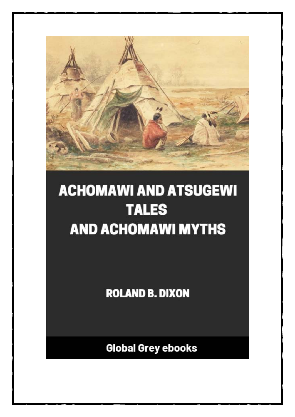

## **ACHOMAWI AND ATSUGEWI TALES AND ACHOMAWI MYTHS**

**ROLAND B. DIXON** 

**Global Grey ebooks**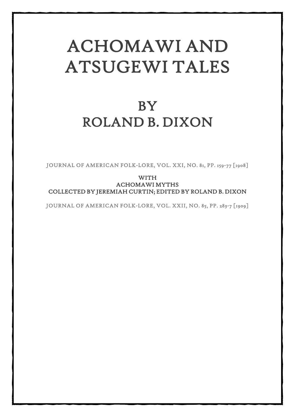# ACHOMAWI AND ATSUGEWI TALES

## **BY** ROLAND B. DIXON

JOURNAL OF AMERICAN FOLK-LORE, VOL. XXI, NO. 81, PP. 159-77 [1908]

WITH ACHOMAWI MYTHS COLLECTED BY JEREMIAH CURTIN; EDITED BY ROLAND B. DIXON

JOURNAL OF AMERICAN FOLK-LORE, VOL. XXII, NO. 85, PP. 283-7 [1909]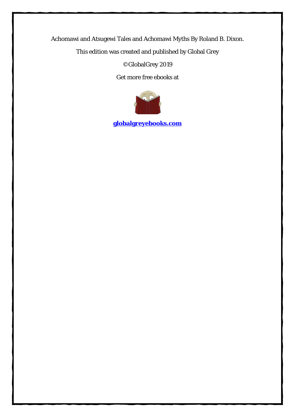Achomawi and Atsugewi Tales and Achomawi Myths By Roland B. Dixon.

This edition was created and published by Global Grey

©GlobalGrey 2019

Get more free ebooks at



**[globalgreyebooks.com](https://www.globalgreyebooks.com/index.html)**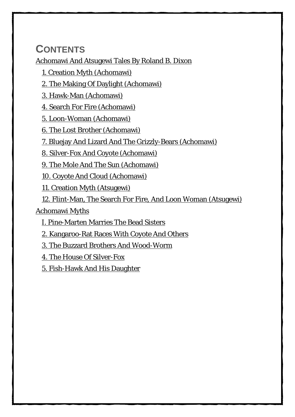### **CONTENTS**

[Achomawi And Atsugewi Tales By Roland B. Dixon](#page-4-0)

[1. Creation Myth \(Achomawi\)](#page-5-0)

[2. The Making Of Daylight \(Achomawi\)](#page-8-0)

[3. Hawk-Man \(Achomawi\)](#page-10-0)

[4. Search For Fire \(Achomawi\)](#page-13-0)

[5. Loon-Woman \(Achomawi\)](#page-14-0)

[6. The Lost Brother \(Achomawi\)](#page-16-0)

[7. Bluejay And Lizard And The Grizzly-Bears \(Achomawi\)](#page-18-0)

[8. Silver-Fox And Coyote \(Achomawi\)](#page-20-0)

[9. The Mole And The Sun \(Achomawi\)](#page-21-0)

[10. Coyote And Cloud \(Achomawi\)](#page-22-0)

[11. Creation Myth \(Atsugewi\)](#page-23-0)

[12. Flint-Man, The Search For Fire, And Loon Woman \(Atsugewi\)](#page-28-0)

[Achomawi Myths](#page-32-0)

[I. Pine-Marten Marries The Bead Sisters](#page-33-0)

[2. Kangaroo-Rat Races With Coyote And Others](#page-35-0)

[3. The Buzzard Brothers And Wood-Worm](#page-37-0)

[4. The House Of Silver-Fox](#page-39-0)

[5. Fish-Hawk And His Daughter](#page-40-0)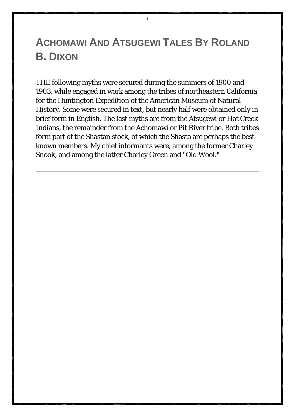## <span id="page-4-0"></span>**ACHOMAWI AND ATSUGEWI TALES BY ROLAND B. DIXON**

1

THE following myths were secured during the summers of 1900 and 1903, while engaged in work among the tribes of northeastern California for the Huntington Expedition of the American Museum of Natural History. Some were secured in text, but nearly half were obtained only in brief form in English. The last myths are from the Atsugewi or Hat Creek Indians, the remainder from the Achomawi or Pit River tribe. Both tribes form part of the Shastan stock, of which the Shasta are perhaps the bestknown members. My chief informants were, among the former Charley Snook, and among the latter Charley Green and "Old Wool."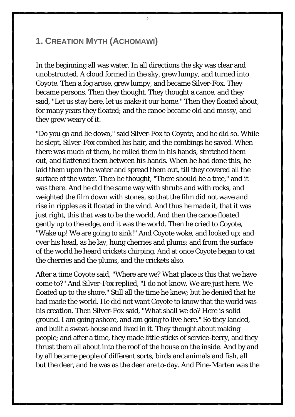#### <span id="page-5-0"></span>**1. CREATION MYTH (ACHOMAWI)**

In the beginning all was water. In all directions the sky was clear and unobstructed. A cloud formed in the sky, grew lumpy, and turned into Coyote. Then a fog arose, grew lumpy, and became Silver-Fox. They became persons. Then they thought. They thought a canoe, and they said, "Let us stay here, let us make it our home." Then they floated about, for many years they floated; and the canoe became old and mossy, and they grew weary of it.

2

"Do you go and lie down," said Silver-Fox to Coyote, and he did so. While he slept, Silver-Fox combed his hair, and the combings he saved. When there was much of them, he rolled them in his hands, stretched them out, and flattened them between his hands. When he had done this, he laid them upon the water and spread them out, till they covered all the surface of the water. Then he thought, "There should be a tree," and it was there. And he did the same way with shrubs and with rocks, and weighted the film down with stones, so that the film did not wave and rise in ripples as it floated in the wind. And thus he made it, that it was just right, this that was to be the world. And then the canoe floated gently up to the edge, and it was the world. Then he cried to Coyote, "Wake up! We are going to sink!" And Coyote woke, and looked up; and over his head, as he lay, hung cherries and plums; and from the surface of the world he heard crickets chirping. And at once Coyote began to cat the cherries and the plums, and the crickets also.

After a time Coyote said, "Where are we? What place is this that we have come to?" And Silver-Fox replied, "I do not know. We are just here. We floated up to the shore." Still all the time he knew; but he denied that he had made the world. He did not want Coyote to know that the world was his creation. Then Silver-Fox said, "What shall we do? Here is solid ground. I am going ashore, and am going to live here." So they landed, and built a sweat-house and lived in it. They thought about making people; and after a time, they made little sticks of service-berry, and they thrust them all about into the roof of the house on the inside. And by and by all became people of different sorts, birds and animals and fish, all but the deer, and he was as the deer are to-day. And Pine-Marten was the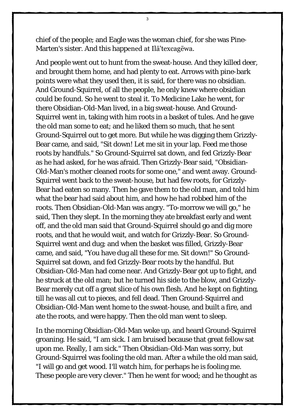chief of the people; and Eagle was the woman chief, for she was Pine-Marten's sister. And this happened at Ilā'texcagēwa.

And people went out to hunt from the sweat-house. And they killed deer, and brought them home, and had plenty to eat. Arrows with pine-bark points were what they used then, it is said, for there was no obsidian. And Ground-Squirrel, of all the people, he only knew where obsidian could be found. So he went to steal it. To Medicine Lake he went, for there Obsidian-Old-Man lived, in a big sweat-house. And Ground-Squirrel went in, taking with him roots in a basket of tules. And he gave the old man some to eat; and he liked them so much, that he sent Ground-Squirrel out to get more. But while he was digging them Grizzly-Bear came, and said, "Sit down! Let me sit in your lap. Feed me those roots by handfuls." So Ground-Squirrel sat down, and fed Grizzly-Bear as he had asked, for he was afraid. Then Grizzly-Bear said, "Obsidian-Old-Man's mother cleaned roots for some one," and went away. Ground-Squirrel went back to the sweat-house, but had few roots, for Grizzly-Bear had eaten so many. Then he gave them to the old man, and told him what the bear had said about him, and how he had robbed him of the roots. Then Obsidian-Old-Man was angry. "To-morrow we will go," he said, Then they slept. In the morning they ate breakfast early and went off, and the old man said that Ground-Squirrel should go and dig more roots, and that he would wait, and watch for Grizzly-Bear. So Ground-Squirrel went and dug; and when the basket was filled, Grizzly-Bear came, and said, "You have dug all these for me. Sit down!" So Ground-Squirrel sat down, and fed Grizzly-Bear roots by the handful. But Obsidian-Old-Man had come near. And Grizzly-Bear got up to fight, and he struck at the old man; but he turned his side to the blow, and Grizzly-Bear merely cut off a great slice of his own flesh. And he kept on fighting, till he was all cut to pieces, and fell dead. Then Ground-Squirrel and Obsidian-Old-Man went home to the sweat-house, and built a fire, and ate the roots, and were happy. Then the old man went to sleep.

In the morning Obsidian-Old-Man woke up, and heard Ground-Squirrel groaning. He said, "I am sick. I am bruised because that great fellow sat upon me. Really, I am sick." Then Obsidian-Old-Man was sorry, but Ground-Squirrel was fooling the old man. After a while the old man said, "I will go and get wood. I'll watch him, for perhaps he is fooling me. These people are very clever." Then he went for wood; and he thought as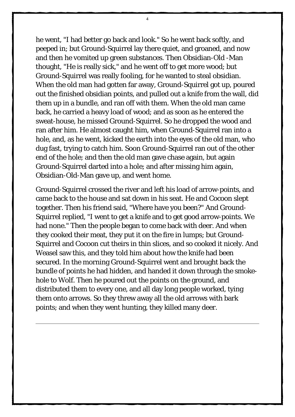he went, "I had better go back and look." So he went back softly, and peeped in; but Ground-Squirrel lay there quiet, and groaned, and now and then he vomited up green substances. Then Obsidian-Old -Man thought, "He is really sick," and he went off to get more wood; but Ground-Squirrel was really fooling, for he wanted to steal obsidian. When the old man had gotten far away, Ground-Squirrel got up, poured out the finished obsidian points, and pulled out a knife from the wall, did them up in a bundle, and ran off with them. When the old man came back, he carried a heavy load of wood; and as soon as he entered the sweat-house, he missed Ground-Squirrel. So he dropped the wood and ran after him. He almost caught him, when Ground-Squirrel ran into a hole, and, as he went, kicked the earth into the eyes of the old man, who dug fast, trying to catch him. Soon Ground-Squirrel ran out of the other end of the hole; and then the old man gave chase again, but again Ground-Squirrel darted into a hole; and after missing him again, Obsidian-Old-Man gave up, and went home.

4

Ground-Squirrel crossed the river and left his load of arrow-points, and came back to the house and sat down in his seat. He and Cocoon slept together. Then his friend said, "Where have you been?" And Ground-Squirrel replied, "I went to get a knife and to get good arrow-points. We had none." Then the people began to come back with deer. And when they cooked their meat, they put it on the fire in lumps; but Ground-Squirrel and Cocoon cut theirs in thin slices, and so cooked it nicely. And Weasel saw this, and they told him about how the knife had been secured. In the morning Ground-Squirrel went and brought back the bundle of points he had hidden, and handed it down through the smokehole to Wolf. Then he poured out the points on the ground, and distributed them to every one, and all day long people worked, tying them onto arrows. So they threw away all the old arrows with bark points; and when they went hunting, they killed many deer.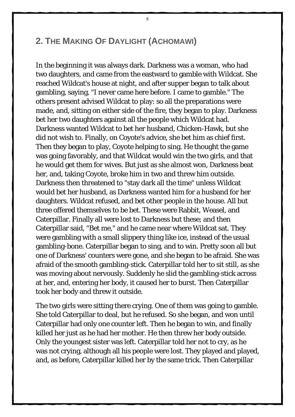#### <span id="page-8-0"></span>**2. THE MAKING OF DAYLIGHT (ACHOMAWI)**

In the beginning it was always dark. Darkness was a woman, who had two daughters, and came from the eastward to gamble with Wildcat. She reached Wildcat's house at night, and after supper began to talk about gambling, saying, "I never came here before. I came to gamble." The others present advised Wildcat to play: so all the preparations were made, and, sitting on either side of the fire, they began to play. Darkness bet her two daughters against all the people which Wildcat had. Darkness wanted Wildcat to bet her husband, Chicken-Hawk, but she did not wish to. Finally, on Coyote's advice, she bet him as chief first. Then they began to play, Coyote helping to sing. He thought the game was going favorably, and that Wildcat would win the two girls, and that he would get them for wives. But just as she almost won, Darkness beat her, and, taking Coyote, broke him in two and threw him outside. Darkness then threatened to "stay dark all the time" unless Wildcat would bet her husband, as Darkness wanted him for a husband for her daughters. Wildcat refused, and bet other people in the house. All but three offered themselves to be bet. These were Rabbit, Weasel, and Caterpillar. Finally all were lost to Darkness but these; and then Caterpillar said, "Bet me," and he came near where Wildcat sat. They were gambling with a small slippery thing like ice, instead of the usual gambling-bone. Caterpillar began to sing, and to win. Pretty soon all but one of Darkness' counters were gone, and she began to be afraid. She was afraid of the smooth gambling-stick. Caterpillar told her to sit still, as she was moving about nervously. Suddenly he slid the gambling-stick across at her, and, entering her body, it caused her to burst. Then Caterpillar took her body and threw it outside.

The two girls were sitting there crying. One of them was going to gamble. She told Caterpillar to deal, but he refused. So she began, and won until Caterpillar had only one counter left. Then he began to win, and finally killed her just as he had her mother. He then threw her body outside. Only the youngest sister was left. Caterpillar told her not to cry, as he was not crying, although all his people were lost. They played and played, and, as before, Caterpillar killed her by the same trick. Then Caterpillar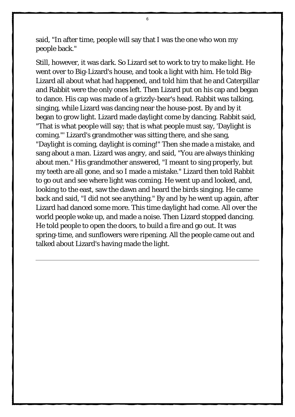said, "In after time, people will say that I was the one who won my people back."

Still, however, it was dark. So Lizard set to work to try to make light. He went over to Big-Lizard's house, and took a light with him. He told Big-Lizard all about what had happened, and told him that he and Caterpillar and Rabbit were the only ones left. Then Lizard put on his cap and began to dance. His cap was made of a grizzly-bear's head. Rabbit was talking, singing, while Lizard was dancing near the house-post. By and by it began to grow light. Lizard made daylight come by dancing. Rabbit said, "That is what people will say; that is what people must say, 'Daylight is coming."' Lizard's grandmother was sitting there, and she sang, "Daylight is coming, daylight is coming!" Then she made a mistake, and sang about a man. Lizard was angry, and said, "You are always thinking about men." His grandmother answered, "I meant to sing properly, but my teeth are all gone, and so I made a mistake." Lizard then told Rabbit to go out and see where light was coming. He went up and looked, and, looking to the east, saw the dawn and heard the birds singing. He came back and said, "I did not see anything." By and by he went up again, after Lizard had danced some more. This time daylight had come. All over the world people woke up, and made a noise. Then Lizard stopped dancing. He told people to open the doors, to build a fire and go out. It was spring-time, and sunflowers were ripening. All the people came out and talked about Lizard's having made the light.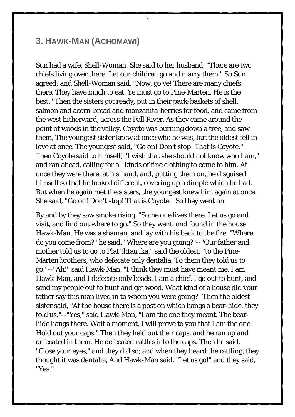#### <span id="page-10-0"></span>**3. HAWK-MAN (ACHOMAWI)**

Sun had a wife, Shell-Woman. She said to her husband, "There are two chiefs living over there. Let our children go and marry them." So Sun agreed; and Shell-Woman said, "Now, go ye! There are many chiefs there. They have much to eat. Ye must go to Pine-Marten. He is the best." Then the sisters got ready, put in their pack-baskets of shell, salmon and acorn-bread and manzanita-berries for food, and came from the west hitherward, across the Fall River. As they came around the point of woods in the valley, Coyote was burning down a tree, and saw them, The youngest sister knew at once who he was, but the oldest fell in love at once. The youngest said, "Go on! Don't stop! That is Coyote." Then Coyote said to himself, "I wish that she should not know who I am," and ran ahead, calling for all kinds of fine clothing to come to him. At once they were there, at his hand, and, putting them on, he disguised himself so that he looked different, covering up a dimple which he had. But when he again met the sisters, the youngest knew him again at once. She said, "Go on! Don't stop! That is Coyote." So they went on.

7

By and by they saw smoke rising. "Some one lives there. Let us go and visit, and find out where to go." So they went, and found in the house Hawk-Man. He was a shaman, and lay with his back to the fire. "Where do you come from?" he said. "Where are you going?"--"Our father and mother told us to go to Plat?thtau'ika," said the oldest, "to the Pine-Marten brothers, who defecate only dentalia. To them they told us to go."--"Ah!" said Hawk-Man, "I think they must have meant me. I am Hawk-Man, and I defecate only beads. I am a chief. I go out to hunt, and send my people out to hunt and get wood. What kind of a house did your father say this man lived in to whom you were going?" Then the oldest sister said, "At the house there is a post on which hangs a bear-hide, they told us."--"Yes," said Hawk-Man, "I am the one they meant. The bearhide hangs there. Wait a moment, I will prove to you that I am the one. Hold out your caps." Then they held out their caps, and he ran up and defecated in them. He defecated rattles into the caps. Then he said, "Close your eyes," and they did so; and when they heard the rattling, they thought it was dentalia, And Hawk-Man said, "Let us go!" and they said, "Yes."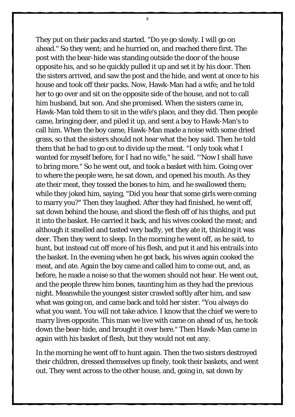They put on their packs and started. "Do ye go slowly. I will go on ahead." So they went; and he hurried on, and reached there first. The post with the bear-hide was standing outside the door of the house opposite his, and so he quickly pulled it up and set it by his door. Then the sisters arrived, and saw the post and the hide, and went at once to his house and took off their packs. Now, Hawk-Man had a wife; and he told her to go over and sit on the opposite side of the house, and not to call him husband, but son. And she promised. When the sisters came in, Hawk-Man told them to sit in the wife's place, and they did. Then people came, bringing deer, and piled it up, and sent a boy to Hawk-Man's to call him. When the boy came, Hawk-Man made a noise with some dried grass, so that the sisters should not hear what the boy said. Then he told them that he had to go out to divide up the meat. "I only took what I wanted for myself before, for I had no wife," he said. "'Now I shall have to bring more." So he went out, and took a basket with him. Going over to where the people were, he sat down, and opened his mouth. As they ate their meat, they tossed the bones to him, and he swallowed them; while they joked him, saying, "Did you hear that some girls were coming to marry you?" Then they laughed. After they had finished, he went off, sat down behind the house, and sliced the flesh off of his thighs, and put it into the basket. He carried it back, and his wives cooked the meat; and although it smelled and tasted very badly, yet they ate it, thinking it was deer. Then they went to sleep. In the morning he went off, as he said, to hunt, but instead cut off more of his flesh, and put it and his entrails into the basket. In the evening when he got back, his wives again cooked the meat, and ate. Again the boy came and called him to come out, and, as before, he made a noise so that the women should not hear. He went out, and the people threw him bones, taunting him as they had the previous night. Meanwhile the youngest sister crawled softly after him, and saw what was going on, and came back and told her sister. "You always do what you want. You will not take advice. I know that the chief we were to marry lives opposite. This man we live with came on ahead of us, he took down the bear-hide, and brought it over here." Then Hawk-Man came in again with his basket of flesh, but they would not eat any.

In the morning he went off to hunt again. Then the two sisters destroyed their children, dressed themselves up finely, took their baskets, and went out. They went across to the other house, and, going in, sat down by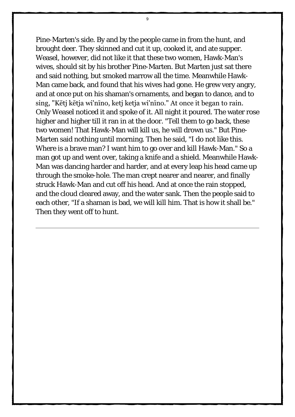Pine-Marten's side. By and by the people came in from the hunt, and brought deer. They skinned and cut it up, cooked it, and ate supper. Weasel, however, did not like it that these two women, Hawk-Man's wives, should sit by his brother Pine-Marten. But Marten just sat there and said nothing, but smoked marrow all the time. Meanwhile Hawk-Man came back, and found that his wives had gone. He grew very angry, and at once put on his shaman's ornaments, and began to dance, and to sing, "Kētj kētja wi'nīno, ketj ketja wi'nīno." At once it began to rain. Only Weasel noticed it and spoke of it. All night it poured. The water rose higher and higher till it ran in at the door. "Tell them to go back, these two women! That Hawk-Man will kill us, he will drown us." But Pine-Marten said nothing until morning. Then he said, "I do not like this. Where is a brave man? I want him to go over and kill Hawk-Man." So a man got up and went over, taking a knife and a shield. Meanwhile Hawk-Man was dancing harder and harder, and at every leap his head came up through the smoke-hole. The man crept nearer and nearer, and finally struck Hawk-Man and cut off his head. And at once the rain stopped, and the cloud cleared away, and the water sank. Then the people said to each other, "If a shaman is bad, we will kill him. That is how it shall be." Then they went off to hunt.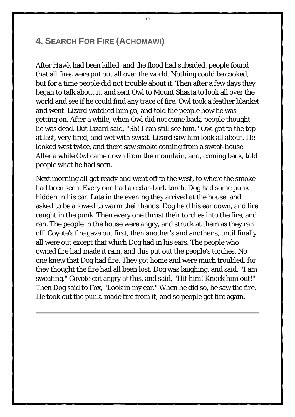#### <span id="page-13-0"></span>**4. SEARCH FOR FIRE (ACHOMAWI)**

After Hawk had been killed, and the flood had subsided, people found that all fires were put out all over the world. Nothing could be cooked, but for a time people did not trouble about it. Then after a few days they began to talk about it, and sent Owl to Mount Shasta to look all over the world and see if he could find any trace of fire. Owl took a feather blanket and went. Lizard watched him go, and told the people how he was getting on. After a while, when Owl did not come back, people thought he was dead. But Lizard said, "Sh! I can still see him." Owl got to the top at last, very tired, and wet with sweat. Lizard saw him look all about. He looked west twice, and there saw smoke coming from a sweat-house. After a while Owl came down from the mountain, and, coming back, told people what he had seen.

Next morning all got ready and went off to the west, to where the smoke had been seen. Every one had a cedar-bark torch. Dog had some punk hidden in his car. Late in the evening they arrived at the house, and asked to be allowed to warm their hands. Dog held his ear down, and fire caught in the punk. Then every one thrust their torches into the fire, and ran. The people in the house were angry, and struck at them as they ran off. Coyote's fire gave out first, then another's and another's, until finally all were out except that which Dog had in his ears. The people who owned fire had made it rain, and this put out the people's torches. No one knew that Dog had fire. They got home and were much troubled, for they thought the fire had all been lost. Dog was laughing, and said, "I am sweating." Coyote got angry at this, and said, "Hit him! Knock him out!" Then Dog said to Fox, "Look in my ear." When he did so, he saw the fire. He took out the punk, made fire from it, and so people got fire again.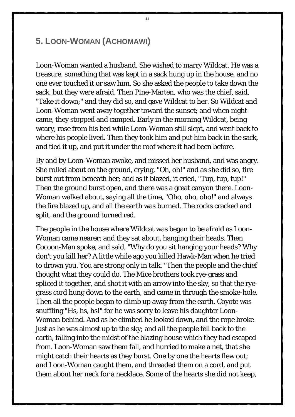#### <span id="page-14-0"></span>**5. LOON-WOMAN (ACHOMAWI)**

Loon-Woman wanted a husband. She wished to marry Wildcat. He was a treasure, something that was kept in a sack hung up in the house, and no one ever touched it or saw him. So she asked the people to take down the sack, but they were afraid. Then Pine-Marten, who was the chief, said, "Take it down;" and they did so, and gave Wildcat to her. So Wildcat and Loon-Woman went away together toward the sunset; and when night came, they stopped and camped. Early in the morning Wildcat, being weary, rose from his bed while Loon-Woman still slept, and went back to where his people lived. Then they took him and put him back in the sack, and tied it up, and put it under the roof where it had been before.

11

By and by Loon-Woman awoke, and missed her husband, and was angry. She rolled about on the ground, crying, "Oh, oh!" and as she did so, fire burst out from beneath her; and as it blazed, it cried, "Tup, tup, tup!" Then the ground burst open, and there was a great canyon there. Loon-Woman walked about, saying all the time, "Oho, oho, oho!" and always the fire blazed up, and all the earth was burned. The rocks cracked and split, and the ground turned red.

The people in the house where Wildcat was began to be afraid as Loon-Woman came nearer; and they sat about, hanging their heads. Then Cocoon-Man spoke, and said, "Why do you sit hanging your heads? Why don't you kill her? A little while ago you killed Hawk-Man when he tried to drown you. You are strong only in talk." Then the people and the chief thought what they could do. The Mice brothers took rye-grass and spliced it together, and shot it with an arrow into the sky, so that the ryegrass cord hung down to the earth, and came in through the smoke-hole. Then all the people began to climb up away from the earth. Coyote was snuffling "Hs, hs, hs!" for he was sorry to leave his daughter Loon-Woman behind. And as he climbed he looked down, and the rope broke just as he was almost up to the sky; and all the people fell back to the earth, falling into the midst of the blazing house which they had escaped from. Loon-Woman saw them fall, and hurried to make a net, that she might catch their hearts as they burst. One by one the hearts flew out; and Loon-Woman caught them, and threaded them on a cord, and put them about her neck for a necklace. Some of the hearts she did not keep,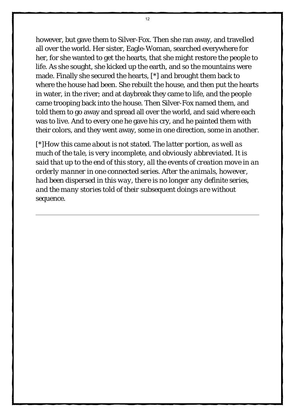however, but gave them to Silver-Fox. Then she ran away, and travelled all over the world. Her sister, Eagle-Woman, searched everywhere for her, for she wanted to get the hearts, that she might restore the people to life. As she sought, she kicked up the earth, and so the mountains were made. Finally she secured the hearts, [\*] and brought them back to where the house had been. She rebuilt the house, and then put the hearts in water, in the river; and at daybreak they came to life, and the people came trooping back into the house. Then Silver-Fox named them, and told them to go away and spread all over the world, and said where each was to live. And to every one he gave his cry, and he painted them with their colors, and they went away, some in one direction, some in another.

*[\*]How this came about is not stated. The latter portion, as well as much of the tale, is very incomplete, and obviously abbreviated. It is said that up to the end of this story, all the events of creation move in an orderly manner in one connected series. After the animals, however, had been dispersed in this way, there is no longer any definite series, and the many stories told of their subsequent doings are without sequence.*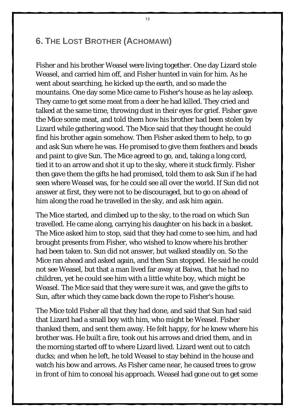#### <span id="page-16-0"></span>**6. THE LOST BROTHER (ACHOMAWI)**

Fisher and his brother Weasel were living together. One day Lizard stole Weasel, and carried him off, and Fisher hunted in vain for him. As he went about searching, he kicked up the earth, and so made the mountains. One day some Mice came to Fisher's house as he lay asleep. They came to get some meat from a deer he had killed. They cried and talked at the same time, throwing dust in their eyes for grief. Fisher gave the Mice some meat, and told them how his brother had been stolen by Lizard while gathering wood. The Mice said that they thought he could find his brother again somehow. Then Fisher asked them to help, to go and ask Sun where he was. He promised to give them feathers and beads and paint to give Sun. The Mice agreed to go, and, taking a long cord, tied it to an arrow and shot it up to the sky, where it stuck firmly. Fisher then gave them the gifts he had promised, told them to ask Sun if he had seen where Weasel was, for he could see all over the world. If Sun did not answer at first, they were not to be discouraged, but to go on ahead of him along the road he travelled in the sky, and ask him again.

The Mice started, and climbed up to the sky, to the road on which Sun travelled. He came along, carrying his daughter on his back in a basket. The Mice asked him to stop, said that they had come to see him, and had brought presents from Fisher, who wished to know where his brother had been taken to. Sun did not answer, but walked steadily on. So the Mice ran ahead and asked again, and then Sun stopped. He said he could not see Weasel, but that a man lived far away at Baiwa, that he had no children, yet he could see him with a little white boy, which might be Weasel. The Mice said that they were sure it was, and gave the gifts to Sun, after which they came back down the rope to Fisher's house.

The Mice told Fisher all that they had done, and said that Sun had said that Lizard had a small boy with him, who might be Weasel. Fisher thanked them, and sent them away. He felt happy, for he knew where his brother was. He built a fire, took out his arrows and dried them, and in the morning started off to where Lizard lived. Lizard went out to catch ducks; and when he left, he told Weasel to stay behind in the house and watch his bow and arrows. As Fisher came near, he caused trees to grow in front of him to conceal his approach. Weasel had gone out to get some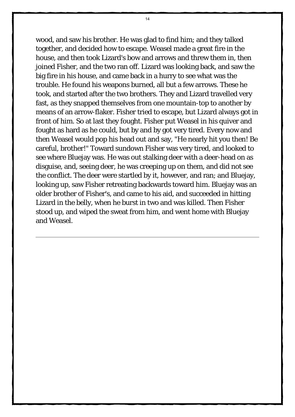wood, and saw his brother. He was glad to find him; and they talked together, and decided how to escape. Weasel made a great fire in the house, and then took Lizard's bow and arrows and threw them in, then joined Fisher, and the two ran off. Lizard was looking back, and saw the big fire in his house, and came back in a hurry to see what was the trouble. He found his weapons burned, all but a few arrows. These he took, and started after the two brothers. They and Lizard travelled very fast, as they snapped themselves from one mountain-top to another by means of an arrow-flaker. Fisher tried to escape, but Lizard always got in front of him. So at last they fought. Fisher put Weasel in his quiver and fought as hard as he could, but by and by got very tired. Every now and then Weasel would pop his head out and say, "He nearly hit you then! Be careful, brother!" Toward sundown Fisher was very tired, and looked to see where Bluejay was. He was out stalking deer with a deer-head on as disguise, and, seeing deer, he was creeping up on them, and did not see the conflict. The deer were startled by it, however, and ran; and Bluejay, looking up, saw Fisher retreating backwards toward him. Bluejay was an older brother of Fisher's, and came to his aid, and succeeded in hitting Lizard in the belly, when he burst in two and was killed. Then Fisher stood up, and wiped the sweat from him, and went home with Bluejay and Weasel.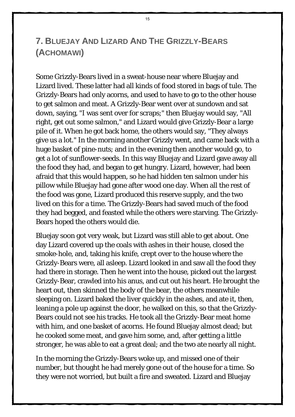#### <span id="page-18-0"></span>**7. BLUEJAY AND LIZARD AND THE GRIZZLY-BEARS (ACHOMAWI)**

Some Grizzly-Bears lived in a sweat-house near where Bluejay and Lizard lived. These latter had all kinds of food stored in bags of tule. The Grizzly-Bears had only acorns, and used to have to go to the other house to get salmon and meat. A Grizzly-Bear went over at sundown and sat down, saying, "I was sent over for scraps;" then Bluejay would say, "All right, get out some salmon," and Lizard would give Grizzly-Bear a large pile of it. When he got back home, the others would say, "They always give us a lot." In the morning another Grizzly went, and came back with a huge basket of pine-nuts; and in the evening then another would go, to get a lot of sunflower-seeds. In this way Bluejay and Lizard gave away all the food they had, and began to get hungry. Lizard, however, had been afraid that this would happen, so he had hidden ten salmon under his pillow while Bluejay had gone after wood one day. When all the rest of the food was gone, Lizard produced this reserve supply, and the two lived on this for a time. The Grizzly-Bears had saved much of the food they had begged, and feasted while the others were starving. The Grizzly-Bears hoped the others would die.

Bluejay soon got very weak, but Lizard was still able to get about. One day Lizard covered up the coals with ashes in their house, closed the smoke-hole, and, taking his knife, crept over to the house where the Grizzly-Bears were, all asleep. Lizard looked in and saw all the food they had there in storage. Then he went into the house, picked out the largest Grizzly-Bear, crawled into his anus, and cut out his heart. He brought the heart out, then skinned the body of the bear, the others meanwhile sleeping on. Lizard baked the liver quickly in the ashes, and ate it, then, leaning a pole up against the door, he walked on this, so that the Grizzly-Bears could not see his tracks. He took all the Grizzly-Bear meat home with him, and one basket of acorns. He found Bluejay almost dead; but he cooked some meat, and gave him some, and, after getting a little stronger, he was able to eat a great deal; and the two ate nearly all night.

In the morning the Grizzly-Bears woke up, and missed one of their number, but thought he had merely gone out of the house for a time. So they were not worried, but built a fire and sweated. Lizard and Bluejay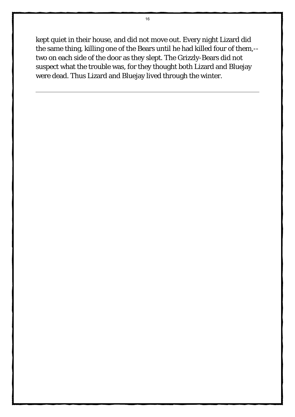kept quiet in their house, and did not move out. Every night Lizard did the same thing, killing one of the Bears until he had killed four of them,- two on each side of the door as they slept. The Grizzly-Bears did not suspect what the trouble was, for they thought both Lizard and Bluejay were dead. Thus Lizard and Bluejay lived through the winter.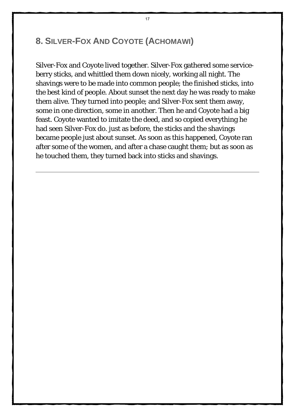#### <span id="page-20-0"></span>**8. SILVER-FOX AND COYOTE (ACHOMAWI)**

Silver-Fox and Coyote lived together. Silver-Fox gathered some serviceberry sticks, and whittled them down nicely, working all night. The shavings were to be made into common people; the finished sticks, into the best kind of people. About sunset the next day he was ready to make them alive. They turned into people; and Silver-Fox sent them away, some in one direction, some in another. Then he and Coyote had a big feast. Coyote wanted to imitate the deed, and so copied everything he had seen Silver-Fox do. just as before, the sticks and the shavings became people just about sunset. As soon as this happened, Coyote ran after some of the women, and after a chase caught them; but as soon as he touched them, they turned back into sticks and shavings.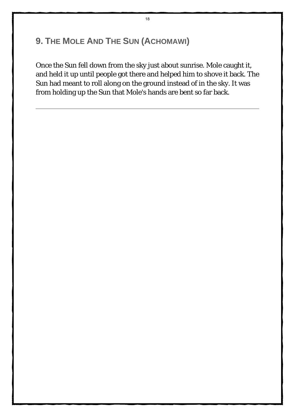#### <span id="page-21-0"></span>**9. THE MOLE AND THE SUN (ACHOMAWI)**

Once the Sun fell down from the sky just about sunrise. Mole caught it, and held it up until people got there and helped him to shove it back. The Sun had meant to roll along on the ground instead of in the sky. It was from holding up the Sun that Mole's hands are bent so far back.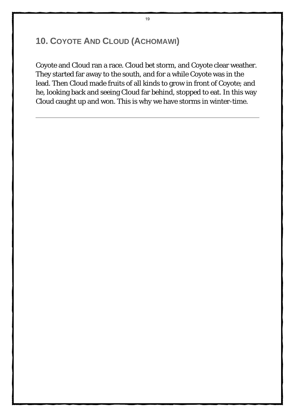#### <span id="page-22-0"></span>**10. COYOTE AND CLOUD (ACHOMAWI)**

Coyote and Cloud ran a race. Cloud bet storm, and Coyote clear weather. They started far away to the south, and for a while Coyote was in the lead. Then Cloud made fruits of all kinds to grow in front of Coyote; and he, looking back and seeing Cloud far behind, stopped to eat. In this way Cloud caught up and won. This is why we have storms in winter-time.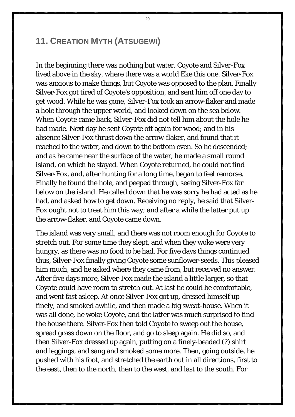#### <span id="page-23-0"></span>**11. CREATION MYTH (ATSUGEWI)**

In the beginning there was nothing but water. Coyote and Silver-Fox lived above in the sky, where there was a world Eke this one. Silver-Fox was anxious to make things, but Coyote was opposed to the plan. Finally Silver-Fox got tired of Coyote's opposition, and sent him off one day to get wood. While he was gone, Silver-Fox took an arrow-flaker and made a hole through the upper world, and looked down on the sea below. When Coyote came back, Silver-Fox did not tell him about the hole he had made. Next day he sent Coyote off again for wood; and in his absence Silver-Fox thrust down the arrow-flaker, and found that it reached to the water, and down to the bottom even. So he descended; and as he came near the surface of the water, he made a small round island, on which he stayed. When Coyote returned, he could not find Silver-Fox, and, after hunting for a long time, began to feel remorse. Finally he found the hole, and peeped through, seeing Silver-Fox far below on the island. He called down that he was sorry he had acted as he had, and asked how to get down. Receiving no reply, he said that Silver-Fox ought not to treat him this way; and after a while the latter put up the arrow-flaker, and Coyote came down.

The island was very small, and there was not room enough for Coyote to stretch out. For some time they slept, and when they woke were very hungry, as there was no food to be had. For five days things continued thus, Silver-Fox finally giving Coyote some sunflower-seeds. This pleased him much, and he asked where they came from, but received no answer. After five days more, Silver-Fox made the island a little larger, so that Coyote could have room to stretch out. At last he could be comfortable, and went fast asleep. At once Silver-Fox got up, dressed himself up finely, and smoked awhile, and then made a big sweat-house. When it was all done, he woke Coyote, and the latter was much surprised to find the house there. Silver-Fox then told Coyote to sweep out the house, spread grass down on the floor, and go to sleep again. He did so, and then Silver-Fox dressed up again, putting on a finely-beaded (?) shirt and leggings, and sang and smoked some more. Then, going outside, he pushed with his foot, and stretched the earth out in all directions, first to the east, then to the north, then to the west, and last to the south. For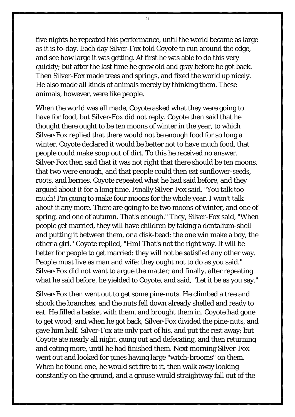five nights he repeated this performance, until the world became as large as it is to-day. Each day Silver-Fox told Coyote to run around the edge, and see how large it was getting. At first he was able to do this very quickly; but after the last time he grew old and gray before he got back. Then Silver-Fox made trees and springs, and fixed the world up nicely. He also made all kinds of animals merely by thinking them. These animals, however, were like people.

When the world was all made, Coyote asked what they were going to have for food, but Silver-Fox did not reply. Coyote then said that he thought there ought to be ten moons of winter in the year, to which Silver-Fox replied that there would not be enough food for so long a winter. Coyote declared it would be better not to have much food, that people could make soup out of dirt. To this he received no answer. Silver-Fox then said that it was not right that there should be ten moons, that two were enough, and that people could then eat sunflower-seeds, roots, and berries. Coyote repeated what he had said before, and they argued about it for a long time. Finally Silver-Fox said, "You talk too much! I'm going to make four moons for the whole year. I won't talk about it any more. There are going to be two moons of winter, and one of spring, and one of autumn. That's enough." They, Silver-Fox said, "When people get married, they will have children by taking a dentalium-shell and putting it between them, or a disk-bead: the one win make a boy, the other a girl." Coyote replied, "Hm! That's not the right way. It will be better for people to get married: they will not be satisfied any other way. People must live as man and wife: they ought not to do as you said." Silver-Fox did not want to argue the matter; and finally, after repeating what he said before, he yielded to Coyote, and said, "Let it be as you say."

Silver-Fox then went out to get some pine-nuts. He climbed a tree and shook the branches, and the nuts fell down already shelled and ready to eat. He filled a basket with them, and brought them in. Coyote had gone to get wood; and when he got back, Silver-Fox divided the pine-nuts, and gave him half. Silver-Fox ate only part of his, and put the rest away; but Coyote ate nearly all night, going out and defecating, and then returning and eating more, until he had finished them. Next morning Silver-Fox went out and looked for pines having large "witch-brooms" on them. When he found one, he would set fire to it, then walk away looking constantly on the ground, and a grouse would straightway fall out of the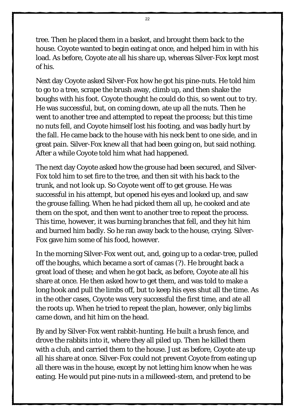tree. Then he placed them in a basket, and brought them back to the house. Coyote wanted to begin eating at once, and helped him in with his load. As before, Coyote ate all his share up, whereas Silver-Fox kept most of his.

Next day Coyote asked Silver-Fox how he got his pine-nuts. He told him to go to a tree, scrape the brush away, climb up, and then shake the boughs with his foot. Coyote thought he could do this, so went out to try. He was successful, but, on coming down, ate up all the nuts. Then he went to another tree and attempted to repeat the process; but this time no nuts fell, and Coyote himself lost his footing, and was badly hurt by the fall. He came back to the house with his neck bent to one side, and in great pain. Silver-Fox knew all that had been going on, but said nothing. After a while Coyote told him what had happened.

The next day Coyote asked how the grouse had been secured, and Silver-Fox told him to set fire to the tree, and then sit with his back to the trunk, and not look up. So Coyote went off to get grouse. He was successful in his attempt, but opened his eyes and looked up, and saw the grouse falling. When he had picked them all up, he cooked and ate them on the spot, and then went to another tree to repeat the process. This time, however, it was burning branches that fell, and they hit him and burned him badly. So he ran away back to the house, crying. Silver-Fox gave him some of his food, however.

In the morning Silver-Fox went out, and, going up to a cedar-tree, pulled off the boughs, which became a sort of camas (?). He brought back a great load of these; and when he got back, as before, Coyote ate all his share at once. He then asked how to get them, and was told to make a long hook and pull the limbs off, but to keep his eyes shut all the time. As in the other cases, Coyote was very successful the first time, and ate all the roots up. When he tried to repeat the plan, however, only big limbs came down, and hit him on the head.

By and by Silver-Fox went rabbit-hunting. He built a brush fence, and drove the rabbits into it, where they all piled up. Then he killed them with a club, and carried them to the house. Just as before, Coyote ate up all his share at once. Silver-Fox could not prevent Coyote from eating up all there was in the house, except by not letting him know when he was eating. He would put pine-nuts in a milkweed-stem, and pretend to be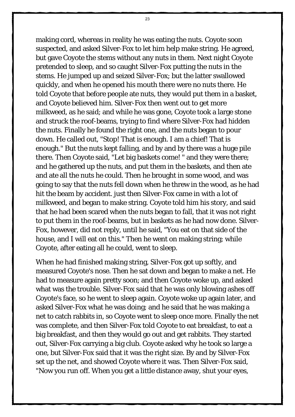making cord, whereas in reality he was eating the nuts. Coyote soon suspected, and asked Silver-Fox to let him help make string. He agreed, but gave Coyote the stems without any nuts in them. Next night Coyote pretended to sleep, and so caught Silver-Fox putting the nuts in the stems. He jumped up and seized Silver-Fox; but the latter swallowed quickly, and when he opened his mouth there were no nuts there. He told Coyote that before people ate nuts, they would put them in a basket, and Coyote believed him. Silver-Fox then went out to get more milkweed, as he said; and while he was gone, Coyote took a large stone and struck the roof-beams, trying to find where Silver-Fox had hidden the nuts. Finally he found the right one, and the nuts began to pour down. He called out, "Stop! That is enough. I am a chief! That is enough." But the nuts kept falling, and by and by there was a huge pile there. Then Coyote said, "Let big baskets come! " and they were there; and he gathered up the nuts, and put them in the baskets, and then ate and ate all the nuts he could. Then he brought in some wood, and was going to say that the nuts fell down when he threw in the wood, as he had hit the beam by accident. just then Silver-Fox came in with a lot of milkweed, and began to make string. Coyote told him his story, and said that he had been scared when the nuts began to fall, that it was not right to put them in the roof-beams, but in baskets as he had now done. Silver-Fox, however, did not reply, until he said, "You eat on that side of the house, and I will eat on this." Then he went on making string; while Coyote, after eating all he could, went to sleep.

When he had finished making string, Silver-Fox got up softly, and measured Coyote's nose. Then he sat down and began to make a net. He had to measure again pretty soon; and then Coyote woke up, and asked what was the trouble. Silver-Fox said that he was only blowing ashes off Coyote's face, so he went to sleep again. Coyote woke up again later, and asked Silver-Fox what he was doing; and he said that he was making a net to catch rabbits in, so Coyote went to sleep once more. Finally the net was complete, and then Silver-Fox told Coyote to eat breakfast, to eat a big breakfast, and then they would go out and get rabbits. They started out, Silver-Fox carrying a big club. Coyote asked why he took so large a one, but Silver-Fox said that it was the right size. By and by Silver-Fox set up the net, and showed Coyote where it was. Then Silver-Fox said, "Now you run off. When you get a little distance away, shut your eyes,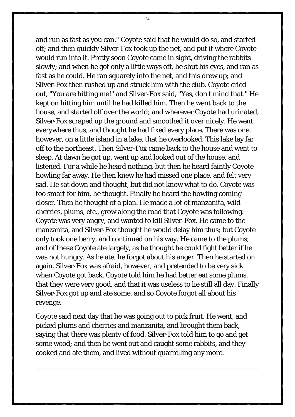and run as fast as you can." Coyote said that he would do so, and started off; and then quickly Silver-Fox took up the net, and put it where Coyote would run into it. Pretty soon Coyote came in sight, driving the rabbits slowly; and when he got only a little ways off, he shut his eyes, and ran as fast as he could. He ran squarely into the net, and this drew up; and Silver-Fox then rushed up and struck him with the club. Coyote cried out, "You are hitting me!" and Silver-Fox said, "Yes, don't mind that." He kept on hitting him until he had killed him. Then he went back to the house, and started off over the world; and wherever Coyote had urinated, Silver-Fox scraped up the ground and smoothed it over nicely. He went everywhere thus, and thought he had fixed every place. There was one, however, on a little island in a lake, that he overlooked. This lake lay far off to the northeast. Then Silver-Fox came back to the house and went to sleep. At dawn he got up, went up and looked out of the house, and listened. For a while he heard nothing, but then he heard faintly Coyote howling far away. He then knew he had missed one place, and felt very sad. He sat down and thought, but did not know what to do. Coyote was too smart for him, he thought. Finally he heard the howling coming closer. Then he thought of a plan. He made a lot of manzanita, wild cherries, plums, etc., grow along the road that Coyote was following. Coyote was very angry, and wanted to kill Silver-Fox. He came to the manzanita, and Silver-Fox thought he would delay him thus; but Coyote only took one berry, and continued on his way. He came to the plums; and of these Coyote ate largely, as he thought he could fight better if he was not hungry. As he ate, he forgot about his anger. Then he started on again. Silver-Fox was afraid, however, and pretended to be very sick when Coyote got back. Coyote told him he had better eat some plums, that they were very good, and that it was useless to lie still all day. Finally Silver-Fox got up and ate some, and so Coyote forgot all about his revenge.

Coyote said next day that he was going out to pick fruit. He went, and picked plums and cherries and manzanita, and brought them back, saying that there was plenty of food. Silver-Fox told him to go and get some wood; and then he went out and caught some rabbits, and they cooked and ate them, and lived without quarrelling any more.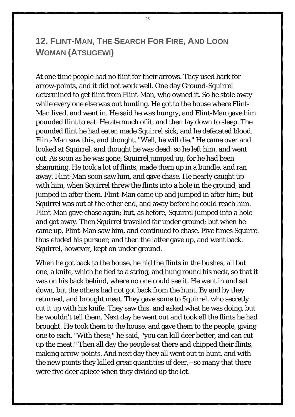#### <span id="page-28-0"></span>**12. FLINT-MAN, THE SEARCH FOR FIRE, AND LOON WOMAN (ATSUGEWI)**

At one time people had no flint for their arrows. They used bark for arrow-points, and it did not work well. One day Ground-Squirrel determined to get flint from Flint-Man, who owned it. So he stole away while every one else was out hunting. He got to the house where Flint-Man lived, and went in. He said he was hungry, and Flint-Man gave him pounded flint to eat. He ate much of it, and then lay down to sleep. The pounded flint he had eaten made Squirrel sick, and he defecated blood. Flint-Man saw this, and thought, "Well, he will die." He came over and looked at Squirrel, and thought he was dead: so he left him, and went out. As soon as he was gone, Squirrel jumped up, for he had been shamming. He took a lot of flints, made them up in a bundle, and ran away. Flint-Man soon saw him, and gave chase. He nearly caught up with him, when Squirrel threw the flints into a hole in the ground, and jumped in after them. Flint-Man came up and jumped in after him; but Squirrel was out at the other end, and away before he could reach him. Flint-Man gave chase again; but, as before, Squirrel jumped into a hole and got away. Then Squirrel travelled far under ground; but when he came up, Flint-Man saw him, and continued to chase. Five times Squirrel thus eluded his pursuer; and then the latter gave up, and went back. Squirrel, however, kept on under ground.

When he got back to the house, he hid the flints in the bushes, all but one, a knife, which he tied to a string, and hung round his neck, so that it was on his back behind, where no one could see it. He went in and sat down, but the others had not got back from the hunt. By and by they returned, and brought meat. They gave some to Squirrel, who secretly cut it up with his knife. They saw this, and asked what he was doing, but he wouldn't tell them. Next day he went out and took all the flints he had brought. He took them to the house, and gave them to the people, giving one to each. "With these," he said, "you can kill deer better, and can cut up the meat." Then all day the people sat there and chipped their flints, making arrow-points. And next day they all went out to hunt, and with the new points they killed great quantities of deer,--so many that there were five deer apiece when they divided up the lot.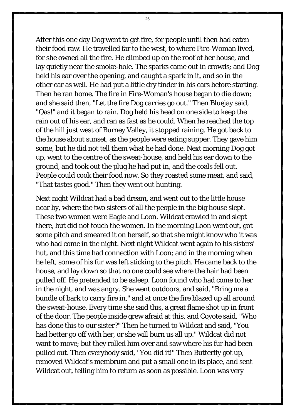After this one day Dog went to get fire, for people until then had eaten their food raw. He travelled far to the west, to where Fire-Woman lived, for she owned all the fire. He climbed up on the roof of her house, and lay quietly near the smoke-hole. The sparks came out in crowds; and Dog held his ear over the opening, and caught a spark in it, and so in the other ear as well. He had put a little dry tinder in his ears before starting. Then he ran home. The fire in Fire-Woman's house began to die down; and she said then, "Let the fire Dog carries go out." Then Bluejay said, "Qas!" and it began to rain. Dog held his head on one side to keep the rain out of his ear, and ran as fast as he could. When he reached the top of the hill just west of Burney Valley, it stopped raining. He got back to the house about sunset, as the people were eating supper. They gave him some, but he did not tell them what he had done. Next morning Dog got up, went to the centre of the sweat-house, and held his ear down to the ground, and took out the plug he had put in, and the coals fell out. People could cook their food now. So they roasted some meat, and said, "That tastes good." Then they went out hunting.

Next night Wildcat had a bad dream, and went out to the little house near by, where the two sisters of all the people in the big house slept. These two women were Eagle and Loon. Wildcat crawled in and slept there, but did not touch the women. In the morning Loon went out, got some pitch and smeared it on herself, so that she might know who it was who had come in the night. Next night Wildcat went again to his sisters' hut, and this time had connection with Loon; and in the morning when he left, some of his fur was left sticking to the pitch. He came back to the house, and lay down so that no one could see where the hair had been pulled off. He pretended to be asleep. Loon found who had come to her in the night, and was angry. She went outdoors, and said, "Bring me a bundle of bark to carry fire in," and at once the fire blazed up all around the sweat-house. Every time she said this, a great flame shot up in front of the door. The people inside grew afraid at this, and Coyote said, "Who has done this to our sister?" Then he turned to Wildcat and said, "You had better go off with her, or she will burn us all up." Wildcat did not want to move; but they rolled him over and saw where his fur had been pulled out. Then everybody said, "You did it!" Then Butterfly got up, removed Wildcat's membrum and put a small one in its place, and sent Wildcat out, telling him to return as soon as possible. Loon was very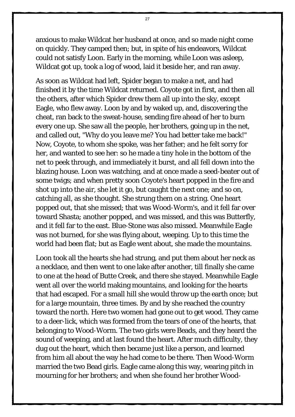anxious to make Wildcat her husband at once, and so made night come on quickly. They camped then; but, in spite of his endeavors, Wildcat could not satisfy Loon. Early in the morning, while Loon was asleep, Wildcat got up, took a log of wood, laid it beside her, and ran away.

As soon as Wildcat had left, Spider began to make a net, and had finished it by the time Wildcat returned. Coyote got in first, and then all the others, after which Spider drew them all up into the sky, except Eagle, who flew away. Loon by and by waked up, and, discovering the cheat, ran back to the sweat-house, sending fire ahead of her to burn every one up. She saw all the people, her brothers, going up in the net, and called out, "Why do you leave me? You had better take me back!" Now, Coyote, to whom she spoke, was her father; and he felt sorry for her, and wanted to see her: so he made a tiny hole in the bottom of the net to peek through, and immediately it burst, and all fell down into the blazing house. Loon was watching, and at once made a seed-beater out of some twigs; and when pretty soon Coyote's heart popped in the fire and shot up into the air, she let it go, but caught the next one; and so on, catching all, as she thought. She strung them on a string. One heart popped out, that she missed; that was Wood-Worm's, and it fell far over toward Shasta; another popped, and was missed, and this was Butterfly, and it fell far to the east. Blue-Stone was also missed. Meanwhile Eagle was not burned, for she was flying about, weeping. Up to this time the world had been flat; but as Eagle went about, she made the mountains.

Loon took all the hearts she had strung, and put them about her neck as a necklace, and then went to one lake after another, till finally she came to one at the head of Butte Creek, and there she stayed. Meanwhile Eagle went all over the world making mountains, and looking for the hearts that had escaped. For a small hill she would throw up the earth once; but for a large mountain, three times. By and by she reached the country toward the north. Here two women had gone out to get wood. They came to a deer-lick, which was formed from the tears of one of the hearts, that belonging to Wood-Worm. The two girls were Beads, and they heard the sound of weeping, and at last found the heart. After much difficulty, they dug out the heart, which then became just like a person, and learned from him all about the way he had come to be there. Then Wood-Worm married the two Bead girls. Eagle came along this way, wearing pitch in mourning for her brothers; and when she found her brother Wood-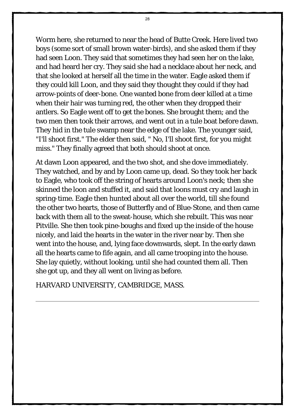Worm here, she returned to near the head of Butte Creek. Here lived two boys (some sort of small brown water-birds), and she asked them if they had seen Loon. They said that sometimes they had seen her on the lake, and had heard her cry. They said she had a necklace about her neck, and that she looked at herself all the time in the water. Eagle asked them if they could kill Loon, and they said they thought they could if they had arrow-points of deer-bone. One wanted bone from deer killed at a time when their hair was turning red, the other when they dropped their antlers. So Eagle went off to get the bones. She brought them; and the two men then took their arrows, and went out in a tule boat before dawn. They hid in the tule swamp near the edge of the lake. The younger said, "I'll shoot first." The elder then said, " No, I'll shoot first, for you might miss." They finally agreed that both should shoot at once.

At dawn Loon appeared, and the two shot, and she dove immediately. They watched, and by and by Loon came up, dead. So they took her back to Eagle, who took off the string of hearts around Loon's neck; then she skinned the loon and stuffed it, and said that loons must cry and laugh in spring-time. Eagle then hunted about all over the world, till she found the other two hearts, those of Butterfly and of Blue-Stone, and then came back with them all to the sweat-house, which she rebuilt. This was near Pitville. She then took pine-boughs and fixed up the inside of the house nicely, and laid the hearts in the water in the river near by. Then she went into the house, and, lying face downwards, slept. In the early dawn all the hearts came to fife again, and all came trooping into the house. She lay quietly, without looking, until she had counted them all. Then she got up, and they all went on living as before.

HARVARD UNIVERSITY, CAMBRIDGE, MASS.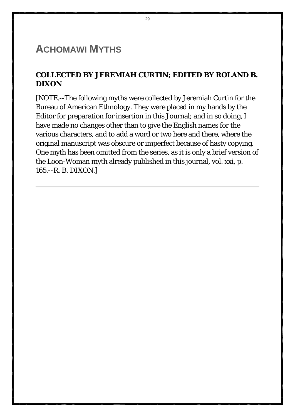### <span id="page-32-0"></span>**ACHOMAWI MYTHS**

#### **COLLECTED BY JEREMIAH CURTIN; EDITED BY ROLAND B. DIXON**

[NOTE.--The following myths were collected by Jeremiah Curtin for the Bureau of American Ethnology. They were placed in my hands by the Editor for preparation for insertion in this Journal; and in so doing, I have made no changes other than to give the English names for the various characters, and to add a word or two here and there, where the original manuscript was obscure or imperfect because of hasty copying. One myth has been omitted from the series, as it is only a brief version of the Loon-Woman myth already published in this journal, vol. xxi, p. 165.--R. B. DIXON.]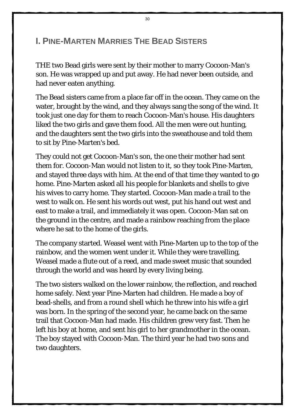#### <span id="page-33-0"></span>**I. PINE-MARTEN MARRIES THE BEAD SISTERS**

THE two Bead girls were sent by their mother to marry Cocoon-Man's son. He was wrapped up and put away. He had never been outside, and had never eaten anything.

The Bead sisters came from a place far off in the ocean. They came on the water, brought by the wind, and they always sang the song of the wind. It took just one day for them to reach Cocoon-Man's house. His daughters liked the two girls and gave them food. All the men were out hunting, and the daughters sent the two girls into the sweathouse and told them to sit by Pine-Marten's bed.

They could not get Cocoon-Man's son, the one their mother had sent them for. Cocoon-Man would not listen to it, so they took Pine-Marten, and stayed three days with him. At the end of that time they wanted to go home. Pine-Marten asked all his people for blankets and shells to give his wives to carry home. They started. Cocoon-Man made a trail to the west to walk on. He sent his words out west, put his hand out west and east to make a trail, and immediately it was open. Cocoon-Man sat on the ground in the centre, and made a rainbow reaching from the place where he sat to the home of the girls.

The company started. Weasel went with Pine-Marten up to the top of the rainbow, and the women went under it. While they were travelling, Weasel made a flute out of a reed, and made sweet music that sounded through the world and was heard by every living being.

The two sisters walked on the lower rainbow, the reflection, and reached home safely. Next year Pine-Marten had children. He made a boy of bead-shells, and from a round shell which he threw into his wife a girl was born. In the spring of the second year, he came back on the same trail that Cocoon-Man had made. His children grew very fast. Then he left his boy at home, and sent his girl to her grandmother in the ocean. The boy stayed with Cocoon-Man. The third year he had two sons and two daughters.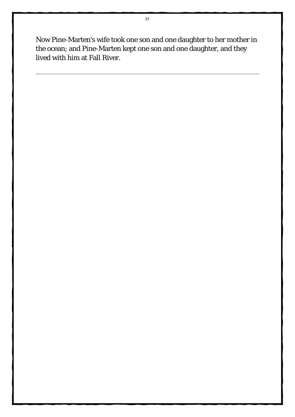Now Pine-Marten's wife took one son and one daughter to her mother in the ocean; and Pine-Marten kept one son and one daughter, and they lived with him at Fall River.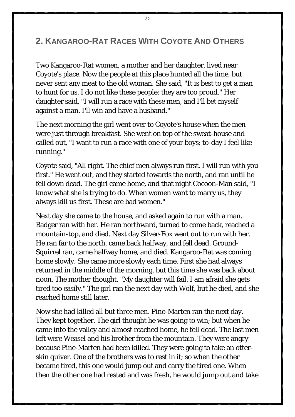#### <span id="page-35-0"></span>**2. KANGAROO-RAT RACES WITH COYOTE AND OTHERS**

Two Kangaroo-Rat women, a mother and her daughter, lived near Coyote's place. Now the people at this place hunted all the time, but never sent any meat to the old woman. She said, "It is best to get a man to hunt for us. I do not like these people; they are too proud." Her daughter said, "I will run a race with these men, and I'll bet myself against a man. I'll win and have a husband."

The next morning the girl went over to Coyote's house when the men were just through breakfast. She went on top of the sweat-house and called out, "I want to run a race with one of your boys; to-day I feel like running."

Coyote said, "All right. The chief men always run first. I will run with you first." He went out, and they started towards the north, and ran until he fell down dead. The girl came home, and that night Cocoon-Man said, "I know what she is trying to do. When women want to marry us, they always kill us first. These are bad women."

Next day she came to the house, and asked again to run with a man. Badger ran with her. He ran northward, turned to come back, reached a mountain-top, and died. Next day Silver-Fox went out to run with her. He ran far to the north, came back halfway, and fell dead. Ground-Squirrel ran, came halfway home, and died. Kangaroo-Rat was coming home slowly. She came more slowly each time. First she had always returned in the middle of the morning, but this time she was back about noon. The mother thought, "My daughter will fail. I am afraid she gets tired too easily." The girl ran the next day with Wolf, but he died, and she reached home still later.

Now she had killed all but three men. Pine-Marten ran the next day. They kept together. The girl thought he was going to win; but when he came into the valley and almost reached home, he fell dead. The last men left were Weasel and his brother from the mountain. They were angry because Pine-Marten had been killed. They were going to take an otterskin quiver. One of the brothers was to rest in it; so when the other became tired, this one would jump out and carry the tired one. When then the other one had rested and was fresh, he would jump out and take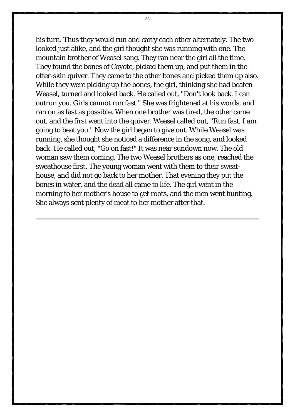his turn. Thus they would run and carry each other alternately. The two looked just alike, and the girl thought she was running with one. The mountain brother of Weasel sang. They ran near the girl all the time. They found the bones of Coyote, picked them up, and put them in the otter-skin quiver. They came to the other bones and picked them up also. While they were picking up the bones, the girl, thinking she had beaten Weasel, turned and looked back. He called out, "Don't look back. I can outrun you. Girls cannot run fast." She was frightened at his words, and ran on as fast as possible. When one brother was tired, the other came out, and the first went into the quiver. Weasel called out, "Run fast, I am going to beat you." Now the girl began to give out. While Weasel was running, she thought she noticed a difference in the song, and looked back. He called out, "Go on fast!" It was near sundown now. The old woman saw them coming. The two Weasel brothers as one, reached the sweathouse first. The young woman went with them to their sweathouse, and did not go back to her mother. That evening they put the bones in water, and the dead all came to life. The girl went in the morning to her mother's house to get roots, and the men went hunting. She always sent plenty of meat to her mother after that.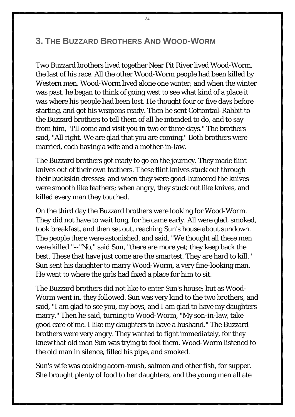#### <span id="page-37-0"></span>**3. THE BUZZARD BROTHERS AND WOOD-WORM**

Two Buzzard brothers lived together Near Pit River lived Wood-Worm, the last of his race. All the other Wood-Worm people had been killed by Western men. Wood-Worm lived alone one winter; and when the winter was past, he began to think of going west to see what kind of a place it was where his people had been lost. He thought four or five days before starting, and got his weapons ready. Then he sent Cottontail-Rabbit to the Buzzard brothers to tell them of all he intended to do, and to say from him, "I'll come and visit you in two or three days." The brothers said, "All right. We are glad that you are coming." Both brothers were married, each having a wife and a mother-in-law.

The Buzzard brothers got ready to go on the journey. They made flint knives out of their own feathers. These flint knives stuck out through their buckskin dresses: and when they were good-humored the knives were smooth like feathers; when angry, they stuck out like knives, and killed every man they touched.

On the third day the Buzzard brothers were looking for Wood-Worm. They did not have to wait long, for he came early. All were glad, smoked, took breakfast, and then set out, reaching Sun's house about sundown. The people there were astonished, and said, "We thought all these men were killed."--"No," said Sun, "there are more yet; they keep back the best. These that have just come are the smartest. They are hard to kill." Sun sent his daughter to marry Wood-Worm, a very fine-looking man. He went to where the girls had fixed a place for him to sit.

The Buzzard brothers did not like to enter Sun's house; but as Wood-Worm went in, they followed. Sun was very kind to the two brothers, and said, "I am glad to see you, my boys, and I am glad to have my daughters marry." Then he said, turning to Wood-Worm, "My son-in-law, take good care of me. I like my daughters to have a husband." The Buzzard brothers were very angry. They wanted to fight immediately, for they knew that old man Sun was trying to fool them. Wood-Worm listened to the old man in silence, filled his pipe, and smoked.

Sun's wife was cooking acorn-mush, salmon and other fish, for supper. She brought plenty of food to her daughters, and the young men all ate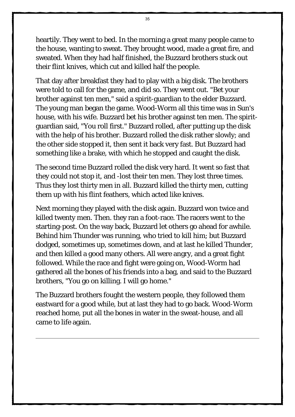heartily. They went to bed. In the morning a great many people came to the house, wanting to sweat. They brought wood, made a great fire, and sweated. When they had half finished, the Buzzard brothers stuck out their flint knives, which cut and killed half the people.

That day after breakfast they had to play with a big disk. The brothers were told to call for the game, and did so. They went out. "Bet your brother against ten men," said a spirit-guardian to the elder Buzzard. The young man began the game. Wood-Worm all this time was in Sun's house, with his wife. Buzzard bet his brother against ten men. The spiritguardian said, "You roll first." Buzzard rolled, after putting up the disk with the help of his brother. Buzzard rolled the disk rather slowly; and the other side stopped it, then sent it back very fast. But Buzzard had something like a brake, with which he stopped and caught the disk.

The second time Buzzard rolled the disk very hard. It went so fast that they could not stop it, and -lost their ten men. They lost three times. Thus they lost thirty men in all. Buzzard killed the thirty men, cutting them up with his flint feathers, which acted like knives.

Next morning they played with the disk again. Buzzard won twice and killed twenty men. Then. they ran a foot-race. The racers went to the starting-post. On the way back, Buzzard let others go ahead for awhile. Behind him Thunder was running, who tried to kill him; but Buzzard dodged, sometimes up, sometimes down, and at last he killed Thunder, and then killed a good many others. All were angry, and a great fight followed. While the race and fight were going on, Wood-Worm had gathered all the bones of his friends into a bag, and said to the Buzzard brothers, "You go on killing. I will go home."

The Buzzard brothers fought the western people, they followed them eastward for a good while, but at last they had to go back. Wood-Worm reached home, put all the bones in water in the sweat-house, and all came to life again.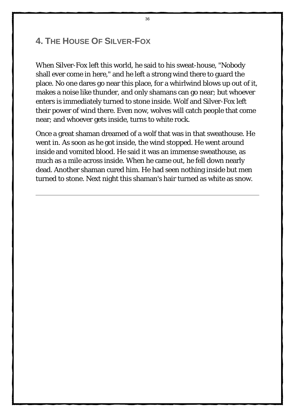#### <span id="page-39-0"></span>**4. THE HOUSE OF SILVER-FOX**

When Silver-Fox left this world, he said to his sweat-house, "Nobody shall ever come in here," and he left a strong wind there to guard the place. No one dares go near this place, for a whirlwind blows up out of it, makes a noise like thunder, and only shamans can go near; but whoever enters is immediately turned to stone inside. Wolf and Silver-Fox left their power of wind there. Even now, wolves will catch people that come near; and whoever gets inside, turns to white rock.

Once a great shaman dreamed of a wolf that was in that sweathouse. He went in. As soon as he got inside, the wind stopped. He went around inside and vomited blood. He said it was an immense sweathouse, as much as a mile across inside. When he came out, he fell down nearly dead. Another shaman cured him. He had seen nothing inside but men turned to stone. Next night this shaman's hair turned as white as snow.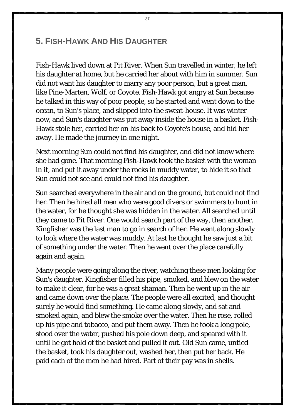#### <span id="page-40-0"></span>**5. FISH-HAWK AND HIS DAUGHTER**

Fish-Hawk lived down at Pit River. When Sun travelled in winter, he left his daughter at home, but he carried her about with him in summer. Sun did not want his daughter to marry any poor person, but a great man, like Pine-Marten, Wolf, or Coyote. Fish-Hawk got angry at Sun because he talked in this way of poor people, so he started and went down to the ocean, to Sun's place, and slipped into the sweat-house. It was winter now, and Sun's daughter was put away inside the house in a basket. Fish-Hawk stole her, carried her on his back to Coyote's house, and hid her away. He made the journey in one night.

Next morning Sun could not find his daughter, and did not know where she had gone. That morning Fish-Hawk took the basket with the woman in it, and put it away under the rocks in muddy water, to hide it so that Sun could not see and could not find his daughter.

Sun searched everywhere in the air and on the ground, but could not find her. Then he hired all men who were good divers or swimmers to hunt in the water, for he thought she was hidden in the water. All searched until they came to Pit River. One would search part of the way, then another. Kingfisher was the last man to go in search of her. He went along slowly to look where the water was muddy. At last he thought he saw just a bit of something under the water. Then he went over the place carefully again and again.

Many people were going along the river, watching these men looking for Sun's daughter. Kingfisher filled his pipe, smoked, and blew on the water to make it clear, for he was a great shaman. Then he went up in the air and came down over the place. The people were all excited, and thought surely he would find something. He came along slowly, and sat and smoked again, and blew the smoke over the water. Then he rose, rolled up his pipe and tobacco, and put them away. Then he took a long pole, stood over the water, pushed his pole down deep, and speared with it until he got hold of the basket and pulled it out. Old Sun came, untied the basket, took his daughter out, washed her, then put her back. He paid each of the men he had hired. Part of their pay was in shells.